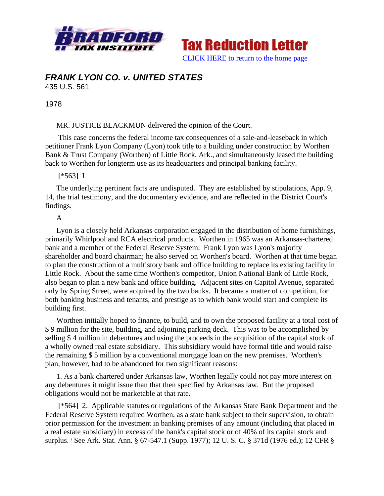



# *FRANK LYON CO. v. UNITED STATES*

435 U.S. 561

1978

MR. JUSTICE BLACKMUN delivered the opinion of the Court.

 This case concerns the federal income tax consequences of a sale-and-leaseback in which petitioner Frank Lyon Company (Lyon) took title to a building under construction by Worthen Bank & Trust Company (Worthen) of Little Rock, Ark., and simultaneously leased the building back to Worthen for longterm use as its headquarters and principal banking facility.

[\*563] I

The underlying pertinent facts are undisputed. They are established by stipulations, App. 9, 14, the trial testimony, and the documentary evidence, and are reflected in the District Court's findings.

A

Lyon is a closely held Arkansas corporation engaged in the distribution of home furnishings, primarily Whirlpool and RCA electrical products. Worthen in 1965 was an Arkansas-chartered bank and a member of the Federal Reserve System. Frank Lyon was Lyon's majority shareholder and board chairman; he also served on Worthen's board. Worthen at that time began to plan the construction of a multistory bank and office building to replace its existing facility in Little Rock. About the same time Worthen's competitor, Union National Bank of Little Rock, also began to plan a new bank and office building. Adjacent sites on Capitol Avenue, separated only by Spring Street, were acquired by the two banks. It became a matter of competition, for both banking business and tenants, and prestige as to which bank would start and complete its building first.

Worthen initially hoped to finance, to build, and to own the proposed facility at a total cost of \$ 9 million for the site, building, and adjoining parking deck. This was to be accomplished by selling \$ 4 million in debentures and using the proceeds in the acquisition of the capital stock of a wholly owned real estate subsidiary. This subsidiary would have formal title and would raise the remaining \$ 5 million by a conventional mortgage loan on the new premises. Worthen's plan, however, had to be abandoned for two significant reasons:

1. As a bank chartered under Arkansas law, Worthen legally could not pay more interest on any debentures it might issue than that then specified by Arkansas law. But the proposed obligations would not be marketable at that rate.

 [\*564] 2. Applicable statutes or regulations of the Arkansas State Bank Department and the Federal Reserve System required Worthen, as a state bank subject to their supervision, to obtain prior permission for the investment in banking premises of any amount (including that placed in a real estate subsidiary) in excess of the bank's capital stock or of 40% of its capital stock and surplus. <sup>1</sup> See Ark. Stat. Ann. § 67-547.1 (Supp. 1977); 12 U. S. C. § 371d (1976 ed.); 12 CFR §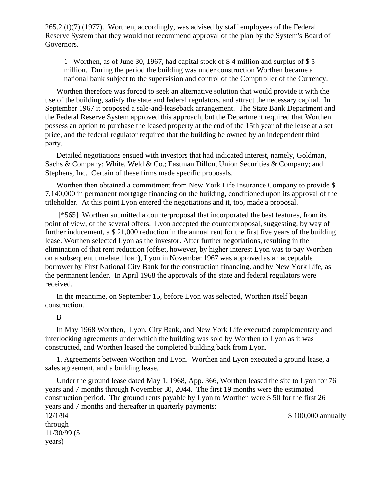265.2 (f)(7) (1977). Worthen, accordingly, was advised by staff employees of the Federal Reserve System that they would not recommend approval of the plan by the System's Board of Governors.

1 Worthen, as of June 30, 1967, had capital stock of \$ 4 million and surplus of \$ 5 million. During the period the building was under construction Worthen became a national bank subject to the supervision and control of the Comptroller of the Currency.

Worthen therefore was forced to seek an alternative solution that would provide it with the use of the building, satisfy the state and federal regulators, and attract the necessary capital. In September 1967 it proposed a sale-and-leaseback arrangement. The State Bank Department and the Federal Reserve System approved this approach, but the Department required that Worthen possess an option to purchase the leased property at the end of the 15th year of the lease at a set price, and the federal regulator required that the building be owned by an independent third party.

Detailed negotiations ensued with investors that had indicated interest, namely, Goldman, Sachs & Company; White, Weld & Co.; Eastman Dillon, Union Securities & Company; and Stephens, Inc. Certain of these firms made specific proposals.

Worthen then obtained a commitment from New York Life Insurance Company to provide \$ 7,140,000 in permanent mortgage financing on the building, conditioned upon its approval of the titleholder. At this point Lyon entered the negotiations and it, too, made a proposal.

 [\*565] Worthen submitted a counterproposal that incorporated the best features, from its point of view, of the several offers. Lyon accepted the counterproposal, suggesting, by way of further inducement, a \$ 21,000 reduction in the annual rent for the first five years of the building lease. Worthen selected Lyon as the investor. After further negotiations, resulting in the elimination of that rent reduction (offset, however, by higher interest Lyon was to pay Worthen on a subsequent unrelated loan), Lyon in November 1967 was approved as an acceptable borrower by First National City Bank for the construction financing, and by New York Life, as the permanent lender. In April 1968 the approvals of the state and federal regulators were received.

In the meantime, on September 15, before Lyon was selected, Worthen itself began construction.

#### B

In May 1968 Worthen, Lyon, City Bank, and New York Life executed complementary and interlocking agreements under which the building was sold by Worthen to Lyon as it was constructed, and Worthen leased the completed building back from Lyon.

1. Agreements between Worthen and Lyon. Worthen and Lyon executed a ground lease, a sales agreement, and a building lease.

Under the ground lease dated May 1, 1968, App. 366, Worthen leased the site to Lyon for 76 years and 7 months through November 30, 2044. The first 19 months were the estimated construction period. The ground rents payable by Lyon to Worthen were \$ 50 for the first 26 years and 7 months and thereafter in quarterly payments:

| ◡           |                    |
|-------------|--------------------|
| 12/1/94     | \$100,000 annually |
| through     |                    |
| 11/30/99(5) |                    |
| years)      |                    |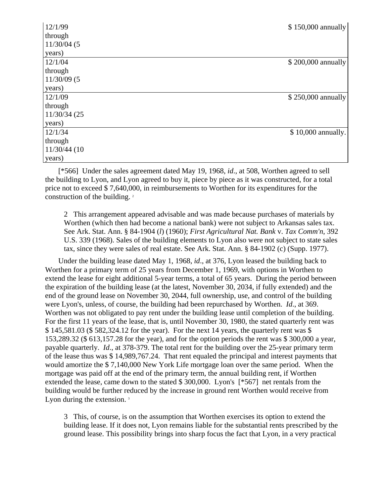| 12/1/99        | \$150,000 annually |
|----------------|--------------------|
| through        |                    |
| $11/30/04$ (5) |                    |
| years)         |                    |
| 12/1/04        | \$200,000 annually |
| through        |                    |
| 11/30/09 (5    |                    |
| years)         |                    |
| 12/1/09        | \$250,000 annually |
| through        |                    |
| 11/30/34 (25   |                    |
| years)         |                    |
| 12/1/34        | \$10,000 annually. |
| through        |                    |
| 11/30/44 (10   |                    |
| years)         |                    |

 [\*566] Under the sales agreement dated May 19, 1968, *id*., at 508, Worthen agreed to sell the building to Lyon, and Lyon agreed to buy it, piece by piece as it was constructed, for a total price not to exceed \$ 7,640,000, in reimbursements to Worthen for its expenditures for the construction of the building.<sup>2</sup>

2 This arrangement appeared advisable and was made because purchases of materials by Worthen (which then had become a national bank) were not subject to Arkansas sales tax. See Ark. Stat. Ann. § 84-1904 (*l*) (1960); *First Agricultural Nat. Bank* v. *Tax Comm'n*, 392 U.S. 339 (1968). Sales of the building elements to Lyon also were not subject to state sales tax, since they were sales of real estate. See Ark. Stat. Ann. § 84-1902 (c) (Supp. 1977).

 Under the building lease dated May 1, 1968, *id*., at 376, Lyon leased the building back to Worthen for a primary term of 25 years from December 1, 1969, with options in Worthen to extend the lease for eight additional 5-year terms, a total of 65 years. During the period between the expiration of the building lease (at the latest, November 30, 2034, if fully extended) and the end of the ground lease on November 30, 2044, full ownership, use, and control of the building were Lyon's, unless, of course, the building had been repurchased by Worthen. *Id*., at 369. Worthen was not obligated to pay rent under the building lease until completion of the building. For the first 11 years of the lease, that is, until November 30, 1980, the stated quarterly rent was \$ 145,581.03 (\$ 582,324.12 for the year). For the next 14 years, the quarterly rent was \$ 153,289.32 (\$ 613,157.28 for the year), and for the option periods the rent was \$ 300,000 a year, payable quarterly. *Id*., at 378-379. The total rent for the building over the 25-year primary term of the lease thus was \$ 14,989,767.24. That rent equaled the principal and interest payments that would amortize the \$ 7,140,000 New York Life mortgage loan over the same period. When the mortgage was paid off at the end of the primary term, the annual building rent, if Worthen extended the lease, came down to the stated \$ 300,000. Lyon's [\*567] net rentals from the building would be further reduced by the increase in ground rent Worthen would receive from Lyon during the extension.  $3$ 

3 This, of course, is on the assumption that Worthen exercises its option to extend the building lease. If it does not, Lyon remains liable for the substantial rents prescribed by the ground lease. This possibility brings into sharp focus the fact that Lyon, in a very practical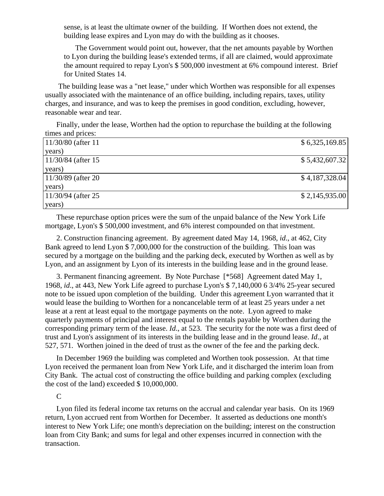sense, is at least the ultimate owner of the building. If Worthen does not extend, the building lease expires and Lyon may do with the building as it chooses.

The Government would point out, however, that the net amounts payable by Worthen to Lyon during the building lease's extended terms, if all are claimed, would approximate the amount required to repay Lyon's \$ 500,000 investment at 6% compound interest. Brief for United States 14.

 The building lease was a "net lease," under which Worthen was responsible for all expenses usually associated with the maintenance of an office building, including repairs, taxes, utility charges, and insurance, and was to keep the premises in good condition, excluding, however, reasonable wear and tear.

Finally, under the lease, Worthen had the option to repurchase the building at the following times and prices:

| 11/30/80 (after 11  | \$6,325,169.85 |
|---------------------|----------------|
| years)              |                |
| 11/30/84 (after 15  | \$5,432,607.32 |
| years)              |                |
| 11/30/89 (after 20  | \$4,187,328.04 |
| years)              |                |
| 11/30/94 (after 25) | \$2,145,935.00 |
| years)              |                |

These repurchase option prices were the sum of the unpaid balance of the New York Life mortgage, Lyon's \$ 500,000 investment, and 6% interest compounded on that investment.

2. Construction financing agreement. By agreement dated May 14, 1968, *id*., at 462, City Bank agreed to lend Lyon \$ 7,000,000 for the construction of the building. This loan was secured by a mortgage on the building and the parking deck, executed by Worthen as well as by Lyon, and an assignment by Lyon of its interests in the building lease and in the ground lease.

3. Permanent financing agreement. By Note Purchase [\*568] Agreement dated May 1, 1968, *id*., at 443, New York Life agreed to purchase Lyon's \$ 7,140,000 6 3/4% 25-year secured note to be issued upon completion of the building. Under this agreement Lyon warranted that it would lease the building to Worthen for a noncancelable term of at least 25 years under a net lease at a rent at least equal to the mortgage payments on the note. Lyon agreed to make quarterly payments of principal and interest equal to the rentals payable by Worthen during the corresponding primary term of the lease. *Id*., at 523. The security for the note was a first deed of trust and Lyon's assignment of its interests in the building lease and in the ground lease. *Id*., at 527, 571. Worthen joined in the deed of trust as the owner of the fee and the parking deck.

In December 1969 the building was completed and Worthen took possession. At that time Lyon received the permanent loan from New York Life, and it discharged the interim loan from City Bank. The actual cost of constructing the office building and parking complex (excluding the cost of the land) exceeded \$ 10,000,000.

 $\overline{C}$ 

Lyon filed its federal income tax returns on the accrual and calendar year basis. On its 1969 return, Lyon accrued rent from Worthen for December. It asserted as deductions one month's interest to New York Life; one month's depreciation on the building; interest on the construction loan from City Bank; and sums for legal and other expenses incurred in connection with the transaction.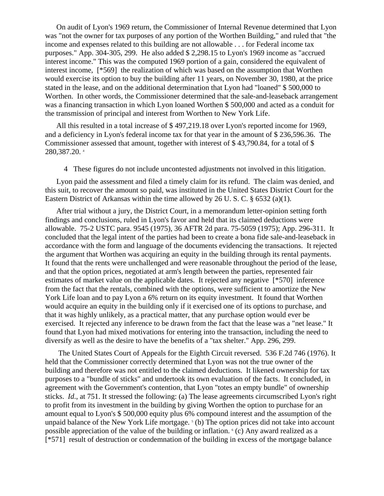On audit of Lyon's 1969 return, the Commissioner of Internal Revenue determined that Lyon was "not the owner for tax purposes of any portion of the Worthen Building," and ruled that "the income and expenses related to this building are not allowable . . . for Federal income tax purposes." App. 304-305, 299. He also added \$ 2,298.15 to Lyon's 1969 income as "accrued interest income." This was the computed 1969 portion of a gain, considered the equivalent of interest income, [\*569] the realization of which was based on the assumption that Worthen would exercise its option to buy the building after 11 years, on November 30, 1980, at the price stated in the lease, and on the additional determination that Lyon had "loaned" \$ 500,000 to Worthen. In other words, the Commissioner determined that the sale-and-leaseback arrangement was a financing transaction in which Lyon loaned Worthen \$ 500,000 and acted as a conduit for the transmission of principal and interest from Worthen to New York Life.

All this resulted in a total increase of \$ 497,219.18 over Lyon's reported income for 1969, and a deficiency in Lyon's federal income tax for that year in the amount of \$ 236,596.36. The Commissioner assessed that amount, together with interest of \$ 43,790.84, for a total of \$ 280,387.20. 4

4 These figures do not include uncontested adjustments not involved in this litigation.

Lyon paid the assessment and filed a timely claim for its refund. The claim was denied, and this suit, to recover the amount so paid, was instituted in the United States District Court for the Eastern District of Arkansas within the time allowed by 26 U. S. C. § 6532 (a)(1).

After trial without a jury, the District Court, in a memorandum letter-opinion setting forth findings and conclusions, ruled in Lyon's favor and held that its claimed deductions were allowable. 75-2 USTC para. 9545 (1975), 36 AFTR 2d para. 75-5059 (1975); App. 296-311. It concluded that the legal intent of the parties had been to create a bona fide sale-and-leaseback in accordance with the form and language of the documents evidencing the transactions. It rejected the argument that Worthen was acquiring an equity in the building through its rental payments. It found that the rents were unchallenged and were reasonable throughout the period of the lease, and that the option prices, negotiated at arm's length between the parties, represented fair estimates of market value on the applicable dates. It rejected any negative [\*570] inference from the fact that the rentals, combined with the options, were sufficient to amortize the New York Life loan and to pay Lyon a 6% return on its equity investment. It found that Worthen would acquire an equity in the building only if it exercised one of its options to purchase, and that it was highly unlikely, as a practical matter, that any purchase option would ever be exercised. It rejected any inference to be drawn from the fact that the lease was a "net lease." It found that Lyon had mixed motivations for entering into the transaction, including the need to diversify as well as the desire to have the benefits of a "tax shelter." App. 296, 299.

 The United States Court of Appeals for the Eighth Circuit reversed. 536 F.2d 746 (1976). It held that the Commissioner correctly determined that Lyon was not the true owner of the building and therefore was not entitled to the claimed deductions. It likened ownership for tax purposes to a "bundle of sticks" and undertook its own evaluation of the facts. It concluded, in agreement with the Government's contention, that Lyon "totes an empty bundle" of ownership sticks. *Id*., at 751. It stressed the following: (a) The lease agreements circumscribed Lyon's right to profit from its investment in the building by giving Worthen the option to purchase for an amount equal to Lyon's \$ 500,000 equity plus 6% compound interest and the assumption of the unpaid balance of the New York Life mortgage.<sup>5</sup> (b) The option prices did not take into account possible appreciation of the value of the building or inflation.  $\epsilon$  (c) Any award realized as a [\*571] result of destruction or condemnation of the building in excess of the mortgage balance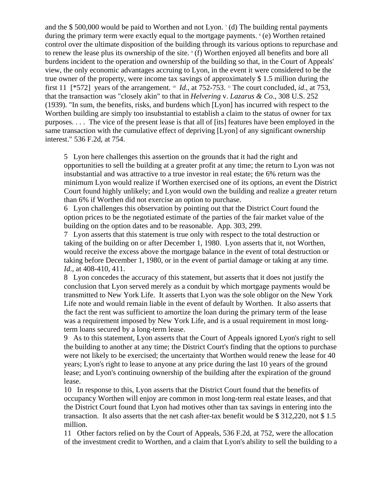and the \$500,000 would be paid to Worthen and not Lyon.  $\tau$  (d) The building rental payments during the primary term were exactly equal to the mortgage payments. <sup>8</sup> (e) Worthen retained control over the ultimate disposition of the building through its various options to repurchase and to renew the lease plus its ownership of the site.  $\degree$  (f) Worthen enjoyed all benefits and bore all burdens incident to the operation and ownership of the building so that, in the Court of Appeals' view, the only economic advantages accruing to Lyon, in the event it were considered to be the true owner of the property, were income tax savings of approximately \$ 1.5 million during the first 11 [\*572] years of the arrangement. 10 *Id*., at 752-753. 11 The court concluded, *id*., at 753, that the transaction was "closely akin" to that in *Helvering* v. *Lazarus & Co*., 308 U.S. 252 (1939). "In sum, the benefits, risks, and burdens which [Lyon] has incurred with respect to the Worthen building are simply too insubstantial to establish a claim to the status of owner for tax purposes. . . . The vice of the present lease is that all of [its] features have been employed in the same transaction with the cumulative effect of depriving [Lyon] of any significant ownership interest." 536 F.2d, at 754.

5 Lyon here challenges this assertion on the grounds that it had the right and opportunities to sell the building at a greater profit at any time; the return to Lyon was not insubstantial and was attractive to a true investor in real estate; the 6% return was the minimum Lyon would realize if Worthen exercised one of its options, an event the District Court found highly unlikely; and Lyon would own the building and realize a greater return than 6% if Worthen did not exercise an option to purchase.

6 Lyon challenges this observation by pointing out that the District Court found the option prices to be the negotiated estimate of the parties of the fair market value of the building on the option dates and to be reasonable. App. 303, 299.

7 Lyon asserts that this statement is true only with respect to the total destruction or taking of the building on or after December 1, 1980. Lyon asserts that it, not Worthen, would receive the excess above the mortgage balance in the event of total destruction or taking before December 1, 1980, or in the event of partial damage or taking at any time. *Id*., at 408-410, 411.

8 Lyon concedes the accuracy of this statement, but asserts that it does not justify the conclusion that Lyon served merely as a conduit by which mortgage payments would be transmitted to New York Life. It asserts that Lyon was the sole obligor on the New York Life note and would remain liable in the event of default by Worthen. It also asserts that the fact the rent was sufficient to amortize the loan during the primary term of the lease was a requirement imposed by New York Life, and is a usual requirement in most longterm loans secured by a long-term lease.

9 As to this statement, Lyon asserts that the Court of Appeals ignored Lyon's right to sell the building to another at any time; the District Court's finding that the options to purchase were not likely to be exercised; the uncertainty that Worthen would renew the lease for 40 years; Lyon's right to lease to anyone at any price during the last 10 years of the ground lease; and Lyon's continuing ownership of the building after the expiration of the ground lease.

10 In response to this, Lyon asserts that the District Court found that the benefits of occupancy Worthen will enjoy are common in most long-term real estate leases, and that the District Court found that Lyon had motives other than tax savings in entering into the transaction. It also asserts that the net cash after-tax benefit would be \$ 312,220, not \$ 1.5 million.

11 Other factors relied on by the Court of Appeals, 536 F.2d, at 752, were the allocation of the investment credit to Worthen, and a claim that Lyon's ability to sell the building to a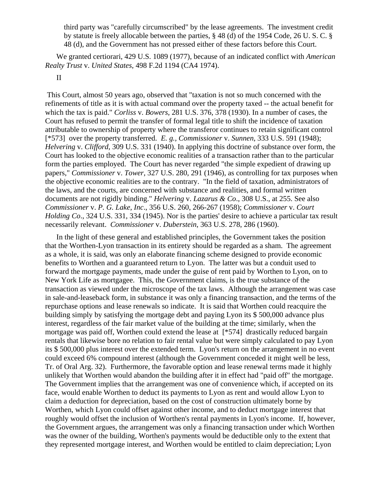third party was "carefully circumscribed" by the lease agreements. The investment credit by statute is freely allocable between the parties, § 48 (d) of the 1954 Code, 26 U. S. C. § 48 (d), and the Government has not pressed either of these factors before this Court.

We granted certiorari, 429 U.S. 1089 (1977), because of an indicated conflict with *American Realty Trust* v. *United States*, 498 F.2d 1194 (CA4 1974).

II

 This Court, almost 50 years ago, observed that "taxation is not so much concerned with the refinements of title as it is with actual command over the property taxed -- the actual benefit for which the tax is paid." *Corliss* v. *Bowers*, 281 U.S. 376, 378 (1930). In a number of cases, the Court has refused to permit the transfer of formal legal title to shift the incidence of taxation attributable to ownership of property where the transferor continues to retain significant control [\*573] over the property transferred. *E. g., Commissioner* v. *Sunnen*, 333 U.S. 591 (1948); *Helvering* v. *Clifford*, 309 U.S. 331 (1940). In applying this doctrine of substance over form, the Court has looked to the objective economic realities of a transaction rather than to the particular form the parties employed. The Court has never regarded "the simple expedient of drawing up papers," *Commissioner* v. *Tower*, 327 U.S. 280, 291 (1946), as controlling for tax purposes when the objective economic realities are to the contrary. "In the field of taxation, administrators of the laws, and the courts, are concerned with substance and realities, and formal written documents are not rigidly binding." *Helvering* v. *Lazarus & Co*., 308 U.S., at 255. See also *Commissioner* v. *P. G. Lake, Inc*., 356 U.S. 260, 266-267 (1958); *Commissioner* v. *Court Holding Co*., 324 U.S. 331, 334 (1945). Nor is the parties' desire to achieve a particular tax result necessarily relevant. *Commissioner* v. *Duberstein*, 363 U.S. 278, 286 (1960).

In the light of these general and established principles, the Government takes the position that the Worthen-Lyon transaction in its entirety should be regarded as a sham. The agreement as a whole, it is said, was only an elaborate financing scheme designed to provide economic benefits to Worthen and a guaranteed return to Lyon. The latter was but a conduit used to forward the mortgage payments, made under the guise of rent paid by Worthen to Lyon, on to New York Life as mortgagee. This, the Government claims, is the true substance of the transaction as viewed under the microscope of the tax laws. Although the arrangement was case in sale-and-leaseback form, in substance it was only a financing transaction, and the terms of the repurchase options and lease renewals so indicate. It is said that Worthen could reacquire the building simply by satisfying the mortgage debt and paying Lyon its \$ 500,000 advance plus interest, regardless of the fair market value of the building at the time; similarly, when the mortgage was paid off, Worthen could extend the lease at [\*574] drastically reduced bargain rentals that likewise bore no relation to fair rental value but were simply calculated to pay Lyon its \$ 500,000 plus interest over the extended term. Lyon's return on the arrangement in no event could exceed 6% compound interest (although the Government conceded it might well be less, Tr. of Oral Arg. 32). Furthermore, the favorable option and lease renewal terms made it highly unlikely that Worthen would abandon the building after it in effect had "paid off" the mortgage. The Government implies that the arrangement was one of convenience which, if accepted on its face, would enable Worthen to deduct its payments to Lyon as rent and would allow Lyon to claim a deduction for depreciation, based on the cost of construction ultimately borne by Worthen, which Lyon could offset against other income, and to deduct mortgage interest that roughly would offset the inclusion of Worthen's rental payments in Lyon's income. If, however, the Government argues, the arrangement was only a financing transaction under which Worthen was the owner of the building, Worthen's payments would be deductible only to the extent that they represented mortgage interest, and Worthen would be entitled to claim depreciation; Lyon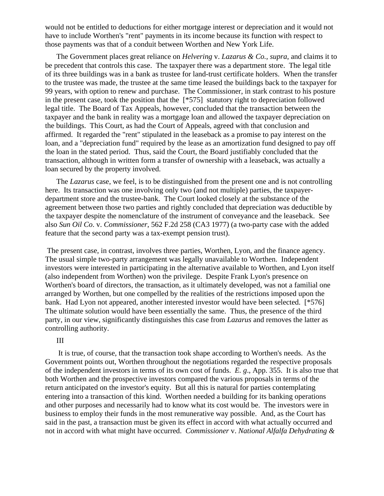would not be entitled to deductions for either mortgage interest or depreciation and it would not have to include Worthen's "rent" payments in its income because its function with respect to those payments was that of a conduit between Worthen and New York Life.

The Government places great reliance on *Helvering* v. *Lazarus & Co., supra*, and claims it to be precedent that controls this case. The taxpayer there was a department store. The legal title of its three buildings was in a bank as trustee for land-trust certificate holders. When the transfer to the trustee was made, the trustee at the same time leased the buildings back to the taxpayer for 99 years, with option to renew and purchase. The Commissioner, in stark contrast to his posture in the present case, took the position that the [\*575] statutory right to depreciation followed legal title. The Board of Tax Appeals, however, concluded that the transaction between the taxpayer and the bank in reality was a mortgage loan and allowed the taxpayer depreciation on the buildings. This Court, as had the Court of Appeals, agreed with that conclusion and affirmed. It regarded the "rent" stipulated in the leaseback as a promise to pay interest on the loan, and a "depreciation fund" required by the lease as an amortization fund designed to pay off the loan in the stated period. Thus, said the Court, the Board justifiably concluded that the transaction, although in written form a transfer of ownership with a leaseback, was actually a loan secured by the property involved.

The *Lazarus* case, we feel, is to be distinguished from the present one and is not controlling here. Its transaction was one involving only two (and not multiple) parties, the taxpayerdepartment store and the trustee-bank. The Court looked closely at the substance of the agreement between those two parties and rightly concluded that depreciation was deductible by the taxpayer despite the nomenclature of the instrument of conveyance and the leaseback. See also *Sun Oil Co*. v. *Commissioner*, 562 F.2d 258 (CA3 1977) (a two-party case with the added feature that the second party was a tax-exempt pension trust).

 The present case, in contrast, involves three parties, Worthen, Lyon, and the finance agency. The usual simple two-party arrangement was legally unavailable to Worthen. Independent investors were interested in participating in the alternative available to Worthen, and Lyon itself (also independent from Worthen) won the privilege. Despite Frank Lyon's presence on Worthen's board of directors, the transaction, as it ultimately developed, was not a familial one arranged by Worthen, but one compelled by the realities of the restrictions imposed upon the bank. Had Lyon not appeared, another interested investor would have been selected. [\*576] The ultimate solution would have been essentially the same. Thus, the presence of the third party, in our view, significantly distinguishes this case from *Lazarus* and removes the latter as controlling authority.

### III

 It is true, of course, that the transaction took shape according to Worthen's needs. As the Government points out, Worthen throughout the negotiations regarded the respective proposals of the independent investors in terms of its own cost of funds. *E. g*., App. 355. It is also true that both Worthen and the prospective investors compared the various proposals in terms of the return anticipated on the investor's equity. But all this is natural for parties contemplating entering into a transaction of this kind. Worthen needed a building for its banking operations and other purposes and necessarily had to know what its cost would be. The investors were in business to employ their funds in the most remunerative way possible. And, as the Court has said in the past, a transaction must be given its effect in accord with what actually occurred and not in accord with what might have occurred. *Commissioner* v. *National Alfalfa Dehydrating &*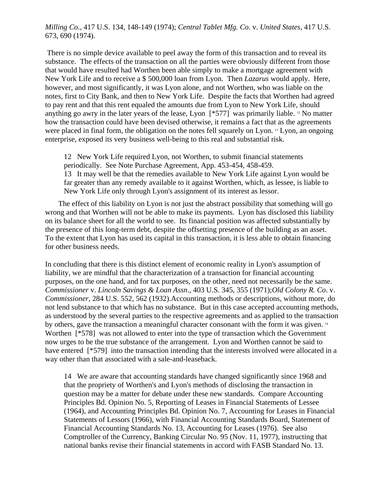## *Milling Co*., 417 U.S. 134, 148-149 (1974); *Central Tablet Mfg. Co*. v. *United States*, 417 U.S. 673, 690 (1974).

 There is no simple device available to peel away the form of this transaction and to reveal its substance. The effects of the transaction on all the parties were obviously different from those that would have resulted had Worthen been able simply to make a mortgage agreement with New York Life and to receive a \$ 500,000 loan from Lyon. Then *Lazarus* would apply. Here, however, and most significantly, it was Lyon alone, and not Worthen, who was liable on the notes, first to City Bank, and then to New York Life. Despite the facts that Worthen had agreed to pay rent and that this rent equaled the amounts due from Lyon to New York Life, should anything go awry in the later years of the lease, Lyon [\*577] was primarily liable. 12 No matter how the transaction could have been devised otherwise, it remains a fact that as the agreements were placed in final form, the obligation on the notes fell squarely on Lyon. <sup>13</sup> Lyon, an ongoing enterprise, exposed its very business well-being to this real and substantial risk.

12 New York Life required Lyon, not Worthen, to submit financial statements periodically. See Note Purchase Agreement, App. 453-454, 458-459. 13 It may well be that the remedies available to New York Life against Lyon would be far greater than any remedy available to it against Worthen, which, as lessee, is liable to New York Life only through Lyon's assignment of its interest as lessor.

 The effect of this liability on Lyon is not just the abstract possibility that something will go wrong and that Worthen will not be able to make its payments. Lyon has disclosed this liability on its balance sheet for all the world to see. Its financial position was affected substantially by the presence of this long-term debt, despite the offsetting presence of the building as an asset. To the extent that Lyon has used its capital in this transaction, it is less able to obtain financing for other business needs.

In concluding that there is this distinct element of economic reality in Lyon's assumption of liability, we are mindful that the characterization of a transaction for financial accounting purposes, on the one hand, and for tax purposes, on the other, need not necessarily be the same. *Commissioner* v. *Lincoln Savings & Loan Assn*., 403 U.S. 345, 355 (1971);*Old Colony R. Co*. v. *Commissioner*, 284 U.S. 552, 562 (1932).Accounting methods or descriptions, without more, do not lend substance to that which has no substance. But in this case accepted accounting methods, as understood by the several parties to the respective agreements and as applied to the transaction by others, gave the transaction a meaningful character consonant with the form it was given. 14 Worthen [\*578] was not allowed to enter into the type of transaction which the Government now urges to be the true substance of the arrangement. Lyon and Worthen cannot be said to have entered [\*579] into the transaction intending that the interests involved were allocated in a way other than that associated with a sale-and-leaseback.

14 We are aware that accounting standards have changed significantly since 1968 and that the propriety of Worthen's and Lyon's methods of disclosing the transaction in question may be a matter for debate under these new standards. Compare Accounting Principles Bd. Opinion No. 5, Reporting of Leases in Financial Statements of Lessee (1964), and Accounting Principles Bd. Opinion No. 7, Accounting for Leases in Financial Statements of Lessors (1966), with Financial Accounting Standards Board, Statement of Financial Accounting Standards No. 13, Accounting for Leases (1976). See also Comptroller of the Currency, Banking Circular No. 95 (Nov. 11, 1977), instructing that national banks revise their financial statements in accord with FASB Standard No. 13.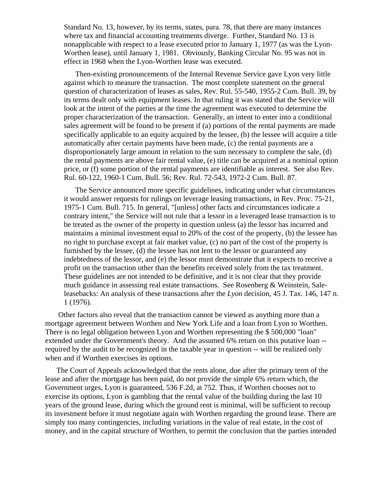Standard No. 13, however, by its terms, states, para. 78, that there are many instances where tax and financial accounting treatments diverge. Further, Standard No. 13 is nonapplicable with respect to a lease executed prior to January 1, 1977 (as was the Lyon-Worthen lease), until January 1, 1981. Obviously, Banking Circular No. 95 was not in effect in 1968 when the Lyon-Worthen lease was executed.

Then-existing pronouncements of the Internal Revenue Service gave Lyon very little against which to measure the transaction. The most complete statement on the general question of characterization of leases as sales, Rev. Rul. 55-540, 1955-2 Cum. Bull. 39, by its terms dealt only with equipment leases. In that ruling it was stated that the Service will look at the intent of the parties at the time the agreement was executed to determine the proper characterization of the transaction. Generally, an intent to enter into a conditional sales agreement will be found to be present if (a) portions of the rental payments are made specifically applicable to an equity acquired by the lessee, (b) the lessee will acquire a title automatically after certain payments have been made, (c) the rental payments are a disproportionately large amount in relation to the sum necessary to complete the sale, (d) the rental payments are above fair rental value, (e) title can be acquired at a nominal option price, or (f) some portion of the rental payments are identifiable as interest. See also Rev. Rul. 60-122, 1960-1 Cum. Bull. 56; Rev. Rul. 72-543, 1972-2 Cum. Bull. 87.

The Service announced more specific guidelines, indicating under what circumstances it would answer requests for rulings on leverage leasing transactions, in Rev. Proc. 75-21, 1975-1 Cum. Bull. 715. In general, "[unless] other facts and circumstances indicate a contrary intent," the Service will not rule that a lessor in a leveraged lease transaction is to be treated as the owner of the property in question unless (a) the lessor has incurred and maintains a minimal investment equal to 20% of the cost of the property, (b) the lessee has no right to purchase except at fair market value, (c) no part of the cost of the property is furnished by the lessee, (d) the lessee has not lent to the lessor or guaranteed any indebtedness of the lessor, and (e) the lessor must demonstrate that it expects to receive a profit on the transaction other than the benefits received solely from the tax treatment. These guidelines are not intended to be definitive, and it is not clear that they provide much guidance in assessing real estate transactions. See Rosenberg & Weinstein, Saleleasebacks: An analysis of these transactions after the *Lyon* decision, 45 J. Tax. 146, 147 n. 1 (1976).

 Other factors also reveal that the transaction cannot be viewed as anything more than a mortgage agreement between Worthen and New York Life and a loan from Lyon to Worthen. There is no legal obligation between Lyon and Worthen representing the \$ 500,000 "loan" extended under the Government's theory. And the assumed 6% return on this putative loan - required by the audit to be recognized in the taxable year in question -- will be realized only when and if Worthen exercises its options.

The Court of Appeals acknowledged that the rents alone, due after the primary term of the lease and after the mortgage has been paid, do not provide the simple 6% return which, the Government urges, Lyon is guaranteed, 536 F.2d, at 752. Thus, if Worthen chooses not to exercise its options, Lyon is gambling that the rental value of the building during the last 10 years of the ground lease, during which the ground rent is minimal, will be sufficient to recoup its investment before it must negotiate again with Worthen regarding the ground lease. There are simply too many contingencies, including variations in the value of real estate, in the cost of money, and in the capital structure of Worthen, to permit the conclusion that the parties intended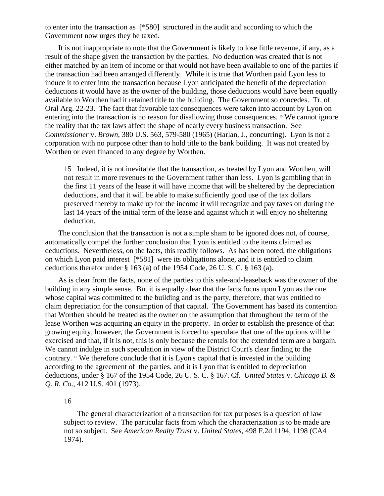to enter into the transaction as [\*580] structured in the audit and according to which the Government now urges they be taxed.

 It is not inappropriate to note that the Government is likely to lose little revenue, if any, as a result of the shape given the transaction by the parties. No deduction was created that is not either matched by an item of income or that would not have been available to one of the parties if the transaction had been arranged differently. While it is true that Worthen paid Lyon less to induce it to enter into the transaction because Lyon anticipated the benefit of the depreciation deductions it would have as the owner of the building, those deductions would have been equally available to Worthen had it retained title to the building. The Government so concedes. Tr. of Oral Arg. 22-23. The fact that favorable tax consequences were taken into account by Lyon on entering into the transaction is no reason for disallowing those consequences. <sup>15</sup> We cannot ignore the reality that the tax laws affect the shape of nearly every business transaction. See *Commissioner* v. *Brown*, 380 U.S. 563, 579-580 (1965) (Harlan, J., concurring). Lyon is not a corporation with no purpose other than to hold title to the bank building. It was not created by Worthen or even financed to any degree by Worthen.

15 Indeed, it is not inevitable that the transaction, as treated by Lyon and Worthen, will not result in more revenues to the Government rather than less. Lyon is gambling that in the first 11 years of the lease it will have income that will be sheltered by the depreciation deductions, and that it will be able to make sufficiently good use of the tax dollars preserved thereby to make up for the income it will recognize and pay taxes on during the last 14 years of the initial term of the lease and against which it will enjoy no sheltering deduction.

 The conclusion that the transaction is not a simple sham to be ignored does not, of course, automatically compel the further conclusion that Lyon is entitled to the items claimed as deductions. Nevertheless, on the facts, this readily follows. As has been noted, the obligations on which Lyon paid interest [\*581] were its obligations alone, and it is entitled to claim deductions therefor under § 163 (a) of the 1954 Code, 26 U. S. C. § 163 (a).

 As is clear from the facts, none of the parties to this sale-and-leaseback was the owner of the building in any simple sense. But it is equally clear that the facts focus upon Lyon as the one whose capital was committed to the building and as the party, therefore, that was entitled to claim depreciation for the consumption of that capital. The Government has based its contention that Worthen should be treated as the owner on the assumption that throughout the term of the lease Worthen was acquiring an equity in the property. In order to establish the presence of that growing equity, however, the Government is forced to speculate that one of the options will be exercised and that, if it is not, this is only because the rentals for the extended term are a bargain. We cannot indulge in such speculation in view of the District Court's clear finding to the contrary. 16 We therefore conclude that it is Lyon's capital that is invested in the building according to the agreement of the parties, and it is Lyon that is entitled to depreciation deductions, under § 167 of the 1954 Code, 26 U. S. C. § 167. Cf. *United States* v. *Chicago B. & Q. R. Co*., 412 U.S. 401 (1973).

16

 The general characterization of a transaction for tax purposes is a question of law subject to review. The particular facts from which the characterization is to be made are not so subject. See *American Realty Trust* v. *United States*, 498 F.2d 1194, 1198 (CA4 1974).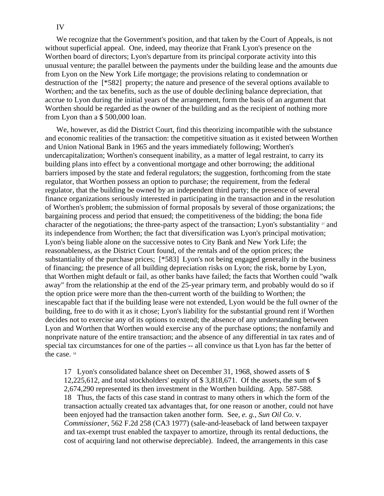#### IV

We recognize that the Government's position, and that taken by the Court of Appeals, is not without superficial appeal. One, indeed, may theorize that Frank Lyon's presence on the Worthen board of directors; Lyon's departure from its principal corporate activity into this unusual venture; the parallel between the payments under the building lease and the amounts due from Lyon on the New York Life mortgage; the provisions relating to condemnation or destruction of the [\*582] property; the nature and presence of the several options available to Worthen; and the tax benefits, such as the use of double declining balance depreciation, that accrue to Lyon during the initial years of the arrangement, form the basis of an argument that Worthen should be regarded as the owner of the building and as the recipient of nothing more from Lyon than a \$ 500,000 loan.

We, however, as did the District Court, find this theorizing incompatible with the substance and economic realities of the transaction: the competitive situation as it existed between Worthen and Union National Bank in 1965 and the years immediately following; Worthen's undercapitalization; Worthen's consequent inability, as a matter of legal restraint, to carry its building plans into effect by a conventional mortgage and other borrowing; the additional barriers imposed by the state and federal regulators; the suggestion, forthcoming from the state regulator, that Worthen possess an option to purchase; the requirement, from the federal regulator, that the building be owned by an independent third party; the presence of several finance organizations seriously interested in participating in the transaction and in the resolution of Worthen's problem; the submission of formal proposals by several of those organizations; the bargaining process and period that ensued; the competitiveness of the bidding; the bona fide character of the negotiations; the three-party aspect of the transaction; Lyon's substantiality 17 and its independence from Worthen; the fact that diversification was Lyon's principal motivation; Lyon's being liable alone on the successive notes to City Bank and New York Life; the reasonableness, as the District Court found, of the rentals and of the option prices; the substantiality of the purchase prices; [\*583] Lyon's not being engaged generally in the business of financing; the presence of all building depreciation risks on Lyon; the risk, borne by Lyon, that Worthen might default or fail, as other banks have failed; the facts that Worthen could "walk away" from the relationship at the end of the 25-year primary term, and probably would do so if the option price were more than the then-current worth of the building to Worthen; the inescapable fact that if the building lease were not extended, Lyon would be the full owner of the building, free to do with it as it chose; Lyon's liability for the substantial ground rent if Worthen decides not to exercise any of its options to extend; the absence of any understanding between Lyon and Worthen that Worthen would exercise any of the purchase options; the nonfamily and nonprivate nature of the entire transaction; and the absence of any differential in tax rates and of special tax circumstances for one of the parties -- all convince us that Lyon has far the better of the case.<sup>18</sup>

17 Lyon's consolidated balance sheet on December 31, 1968, showed assets of \$ 12,225,612, and total stockholders' equity of \$ 3,818,671. Of the assets, the sum of \$ 2,674,290 represented its then investment in the Worthen building. App. 587-588. 18 Thus, the facts of this case stand in contrast to many others in which the form of the transaction actually created tax advantages that, for one reason or another, could not have been enjoyed had the transaction taken another form. See, *e. g., Sun Oil Co*. v. *Commissioner*, 562 F.2d 258 (CA3 1977) (sale-and-leaseback of land between taxpayer and tax-exempt trust enabled the taxpayer to amortize, through its rental deductions, the cost of acquiring land not otherwise depreciable). Indeed, the arrangements in this case